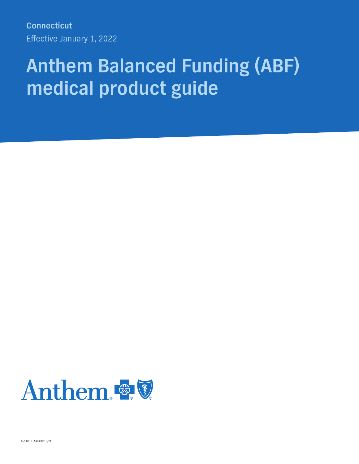**Connecticut**  Effective January 1, 2022

# **Anthem Balanced Funding (ABF) medical product guide**



05518CTEENABS Rev. 9/21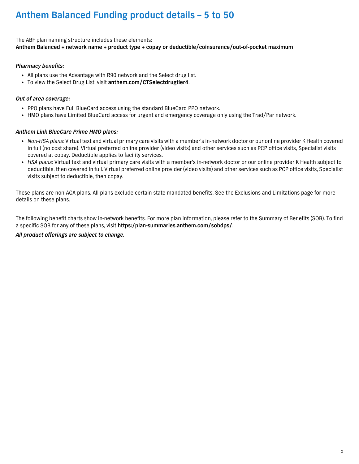The ABF plan naming structure includes these elements: **Anthem Balanced + network name + product type + copay or deductible/coinsurance/out-of-pocket maximum** 

#### *Pharmacy benefits:*

- All plans use the Advantage with R90 network and the Select drug list.
- To view the Select Drug List, visit **anthem.com/CTSelectdrugtier4**.

#### *Out of area coverage:*

- PPO plans have Full BlueCard access using the standard BlueCard PPO network.
- HMO plans have Limited BlueCard access for urgent and emergency coverage only using the Trad/Par network.

#### *Anthem Link BlueCare Prime HMO plans:*

- *Non-HSA plans*: Virtual text and virtual primary care visits with a member's in-network doctor or our online provider K Health covered in full (no cost share). Virtual preferred online provider (video visits) and other services such as PCP office visits, Specialist visits covered at copay. Deductible applies to facility services.
- *HSA plans*: Virtual text and virtual primary care visits with a member's in-network doctor or our online provider K Health subject to deductible, then covered in full. Virtual preferred online provider (video visits) and other services such as PCP office visits, Specialist visits subject to deductible, then copay.

These plans are non-ACA plans. All plans exclude certain state mandated benefits. See the Exclusions and Limitations page for more details on these plans.

The following benefit charts show in-network benefits. For more plan information, please refer to the Summary of Benefits (SOB). To find a specific SOB for any of these plans, visit **https:/plan-summaries.anthem.com/sobdps/**.

#### *All product offerings are subject to change.*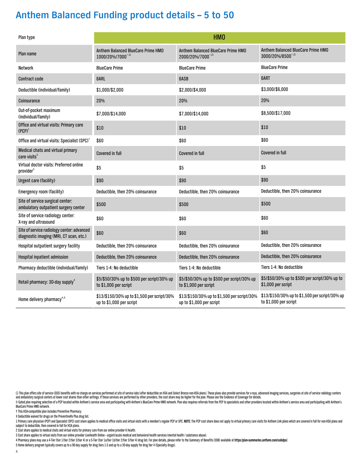| Plan type                                                                             |                                                                         | HM <sub>0</sub>                                                         |                                                                         |
|---------------------------------------------------------------------------------------|-------------------------------------------------------------------------|-------------------------------------------------------------------------|-------------------------------------------------------------------------|
| Plan name                                                                             | Anthem Balanced BlueCare Prime HMO<br>1000/20%/7000                     | Anthem Balanced BlueCare Prime HMO<br>2000/20%/7000°, <sup>2</sup>      | Anthem Balanced BlueCare Prime HMO<br>$3000/20\%/8500^{\circ,\Omega}$   |
| Network                                                                               | <b>BlueCare Prime</b>                                                   | <b>BlueCare Prime</b>                                                   | <b>BlueCare Prime</b>                                                   |
| <b>Contract code</b>                                                                  | <b>GARL</b>                                                             | <b>GASB</b>                                                             | 6ART                                                                    |
| Deductible (individual/family)                                                        | \$1,000/\$2,000                                                         | \$2,000/\$4,000                                                         | \$3,000/\$6,000                                                         |
| Coinsurance                                                                           | 20%                                                                     | 20%                                                                     | 20%                                                                     |
| Out-of-pocket maximum<br>(individual/family)                                          | \$7,000/\$14,000                                                        | \$7,000/\$14,000                                                        | \$8,500/\$17,000                                                        |
| Office and virtual visits: Primary care<br>$(PCP)^1$                                  | \$10                                                                    | \$10                                                                    | \$10                                                                    |
| Office and virtual visits: Specialist (SPC) <sup>1</sup>                              | \$60                                                                    | \$60                                                                    | \$60                                                                    |
| Medical chats and virtual primary<br>care visits <sup>2</sup>                         | <b>Covered in full</b>                                                  | <b>Covered in full</b>                                                  | <b>Covered in full</b>                                                  |
| Virtual doctor visits: Preferred online<br>provider <sup>3</sup>                      | \$5                                                                     | \$5                                                                     | \$5                                                                     |
| <b>Urgent care (facility)</b>                                                         | \$90                                                                    | \$90                                                                    | \$90                                                                    |
| Emergency room (facility)                                                             | Deductible, then 20% coinsurance                                        | Deductible, then 20% coinsurance                                        | Deductible, then 20% coinsurance                                        |
| Site of service surgical center:<br>ambulatory outpatient surgery center              | \$500                                                                   | \$500                                                                   | \$500                                                                   |
| Site of service radiology center:<br>X-ray and ultrasound                             | \$60                                                                    | \$60                                                                    | \$60                                                                    |
| Site of service radiology center: advanced<br>diagnostic imaging (MRI, CT scan, etc.) | \$60                                                                    | \$60                                                                    | \$60                                                                    |
| Hospital outpatient surgery facility                                                  | Deductible, then 20% coinsurance                                        | Deductible, then 20% coinsurance                                        | Deductible, then 20% coinsurance                                        |
| Hospital inpatient admission                                                          | Deductible, then 20% coinsurance                                        | Deductible, then 20% coinsurance                                        | Deductible, then 20% coinsurance                                        |
| Pharmacy deductible (individual/family)                                               | Tiers 1-4: No deductible                                                | Tiers 1-4: No deductible                                                | Tiers 1-4: No deductible                                                |
| Retail pharmacy: 30-day supply <sup>4</sup>                                           | \$5/\$50/30% up to \$500 per script/30% up<br>to \$1,000 per script     | \$5/\$50/30% up to \$500 per script/30% up<br>to \$1,000 per script     | \$5/\$50/30% up to \$500 per script/30% up to<br>\$1,000 per script     |
| Home delivery pharmacy <sup>4,5</sup>                                                 | \$13/\$150/30% up to \$1,500 per script/30%<br>up to \$1,000 per script | \$13/\$150/30% up to \$1,500 per script/30%<br>up to \$1,000 per script | \$13/\$150/30% up to \$1,500 per script/30% up<br>to \$1,000 per script |

Ω This plan offers site of service (SOS) benefits with no charge on services performed at site of service labs (after deductible on HSA and Select Bronze non-HSA plans). These plans also provide services for x-rays, advan and ambulatory surgical centers at lower cost shares than other settings. If these services are performed by other providers, the cost share may be higher for the plan. Please see the Evidence of Coverage for details.

◆ Gated plan requiring selection of a PCP located within Anthem's service area and participating with Anthem's BlueCare Prime HMO network. Plan also requires referrals from the PCP to specialists and other providers locat BlueCare Prime HMO network.

† This HSA-compatible plan includes Preventive Pharmacy.

‡ Deductible waived for drugs on the PreventiveRx Plus drug list.

1 Primary care physician (PCP) and Specialist (SPC) cost share applies to medical office visits and virtual visits with a member's regular PCP or SPC. NOTE: The PCP cost share does not apply to virtual primary care visits subject to deductible, then covered in full for HSA plans.

2 Cost share applies to medical chats and virtual visits for primary care from our online provider K Health.

3 Cost share applies to virtual visits from our online provider LiveHealth Online – urgent/acute medical and behavioral health services (mental health / substance abuse).

4 Pharmacy plans may use a 4-Tier (tier 1/tier 2/tier 3/tier 4) or a 5-Tier (tier 1a/tier 1b/tier 2/tier 19 drug list. For plan details, please refer to the Summary of Benefits (SOB) available at https:/plan-summaries.anth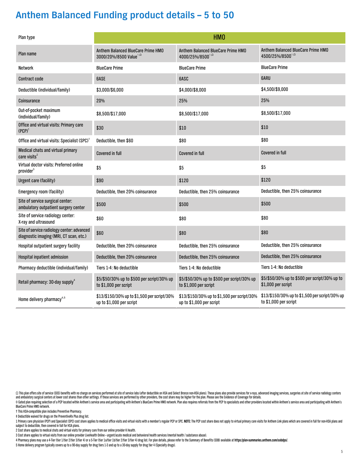| Plan type                                                                             |                                                                           | HM <sub>0</sub>                                                         |                                                                         |
|---------------------------------------------------------------------------------------|---------------------------------------------------------------------------|-------------------------------------------------------------------------|-------------------------------------------------------------------------|
| Plan name                                                                             | Anthem Balanced BlueCare Prime HMO<br>3000/20%/8500 Value <sup>®, 0</sup> | Anthem Balanced BlueCare Prime HMO<br>4000/25%/8500°, 0                 | Anthem Balanced BlueCare Prime HMO<br>4500/25%/8500°, 0                 |
| <b>Network</b>                                                                        | <b>BlueCare Prime</b>                                                     | <b>BlueCare Prime</b>                                                   | <b>BlueCare Prime</b>                                                   |
| <b>Contract code</b>                                                                  | <b>GASE</b>                                                               | 6ASC                                                                    | <b>GARU</b>                                                             |
| Deductible (individual/family)                                                        | \$3,000/\$6,000                                                           | \$4,000/\$8,000                                                         | \$4,500/\$9,000                                                         |
| Coinsurance                                                                           | 20%                                                                       | 25%                                                                     | 25%                                                                     |
| Out-of-pocket maximum<br>(individual/family)                                          | \$8,500/\$17,000                                                          | \$8,500/\$17,000                                                        | \$8,500/\$17,000                                                        |
| Office and virtual visits: Primary care<br>$(PCP)^1$                                  | \$30                                                                      | \$10                                                                    | \$10                                                                    |
| Office and virtual visits: Specialist (SPC) <sup>1</sup>                              | Deductible, then \$60                                                     | \$80                                                                    | \$80                                                                    |
| Medical chats and virtual primary<br>care visits <sup>2</sup>                         | <b>Covered in full</b>                                                    | <b>Covered in full</b>                                                  | <b>Covered in full</b>                                                  |
| Virtual doctor visits: Preferred online<br>provider <sup>3</sup>                      | \$5                                                                       | \$5                                                                     | \$5                                                                     |
| Urgent care (facility)                                                                | \$90                                                                      | \$120                                                                   | \$120                                                                   |
| Emergency room (facility)                                                             | Deductible, then 20% coinsurance                                          | Deductible, then 25% coinsurance                                        | Deductible, then 25% coinsurance                                        |
| Site of service surgical center:<br>ambulatory outpatient surgery center              | \$500                                                                     | \$500                                                                   | \$500                                                                   |
| Site of service radiology center:<br>X-ray and ultrasound                             | \$60                                                                      | \$80                                                                    | \$80                                                                    |
| Site of service radiology center: advanced<br>diagnostic imaging (MRI, CT scan, etc.) | \$60                                                                      | \$80                                                                    | \$80                                                                    |
| Hospital outpatient surgery facility                                                  | Deductible, then 20% coinsurance                                          | Deductible, then 25% coinsurance                                        | Deductible, then 25% coinsurance                                        |
| <b>Hospital inpatient admission</b>                                                   | Deductible, then 20% coinsurance                                          | Deductible, then 25% coinsurance                                        | Deductible, then 25% coinsurance                                        |
| Pharmacy deductible (individual/family)                                               | Tiers 1-4: No deductible                                                  | Tiers 1-4: No deductible                                                | Tiers 1-4: No deductible                                                |
| Retail pharmacy: 30-day supply <sup>4</sup>                                           | \$5/\$50/30% up to \$500 per script/30% up<br>to \$1,000 per script       | \$5/\$50/30% up to \$500 per script/30% up<br>to \$1,000 per script     | \$5/\$50/30% up to \$500 per script/30% up to<br>\$1,000 per script     |
| Home delivery pharmacy <sup>4,5</sup>                                                 | \$13/\$150/30% up to \$1,500 per script/30%<br>up to \$1,000 per script   | \$13/\$150/30% up to \$1,500 per script/30%<br>up to \$1,000 per script | \$13/\$150/30% up to \$1,500 per script/30% up<br>to \$1,000 per script |

Ω This plan offers site of service (SOS) benefits with no charge on services performed at site of service labs (after deductible on HSA and Select Bronze non-HSA plans). These plans also provide services for x-rays, advan

◆ Gated plan requiring selection of a PCP located within Anthem's service area and participating with Anthem's BlueCare Prime HMO network. Plan also requires referrals from the PCP to specialists and other providers locat BlueCare Prime HMO network.

† This HSA-compatible plan includes Preventive Pharmacy.

‡ Deductible waived for drugs on the PreventiveRx Plus drug list.

1 Primary care physician (PCP) and Specialist (SPC) cost share applies to medical office visits and virtual visits with a member's regular PCP or SPC. NOTE: The PCP cost share does not apply to virtual primary care visits subject to deductible, then covered in full for HSA plans.

2 Cost share applies to medical chats and virtual visits for primary care from our online provider K Health.

3 Cost share applies to virtual visits from our online provider LiveHealth Online – urgent/acute medical and behavioral health services (mental health / substance abuse).

4 Pharmacy plans may use a 4-Tier (tier 1/tier 2/tier 3/tier 4) or a 5-Tier (tier 1a/tier 1b/tier 2/tier 2/tier 9 of a 5-Tier (tier 1a/tier 1b/tier 2/tier 2/tier 3/tier 4) drug list. For plan details, please refer to the S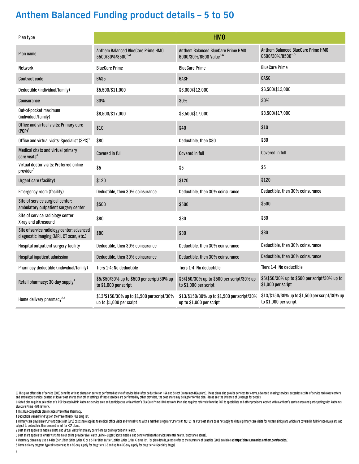| Plan type                                                                             |                                                                         | HM <sub>0</sub>                                                         |                                                                         |
|---------------------------------------------------------------------------------------|-------------------------------------------------------------------------|-------------------------------------------------------------------------|-------------------------------------------------------------------------|
| Plan name                                                                             | Anthem Balanced BlueCare Prime HMO<br>5500/30%/8500                     | Anthem Balanced BlueCare Prime HMO<br>6000/30%/8500 Value®,0            | Anthem Balanced BlueCare Prime HMO<br>6500/30%/8500°, 0                 |
| <b>Network</b>                                                                        | <b>BlueCare Prime</b>                                                   | <b>BlueCare Prime</b>                                                   | <b>BlueCare Prime</b>                                                   |
| <b>Contract code</b>                                                                  | 6AS5                                                                    | <b>GASF</b>                                                             | 6AS6                                                                    |
| Deductible (individual/family)                                                        | \$5,500/\$11,000                                                        | \$6,000/\$12,000                                                        | \$6,500/\$13,000                                                        |
| Coinsurance                                                                           | 30%                                                                     | 30%                                                                     | 30%                                                                     |
| Out-of-pocket maximum<br>(individual/family)                                          | \$8,500/\$17,000                                                        | \$8,500/\$17,000                                                        | \$8,500/\$17,000                                                        |
| Office and virtual visits: Primary care<br>$(PCP)^1$                                  | \$10                                                                    | \$40                                                                    | \$10                                                                    |
| Office and virtual visits: Specialist (SPC) <sup>1</sup>                              | \$80                                                                    | Deductible, then \$80                                                   | \$80                                                                    |
| Medical chats and virtual primary<br>care visits <sup>2</sup>                         | <b>Covered in full</b>                                                  | <b>Covered in full</b>                                                  | <b>Covered in full</b>                                                  |
| Virtual doctor visits: Preferred online<br>provider <sup>3</sup>                      | \$5                                                                     | \$5                                                                     | \$5                                                                     |
| <b>Urgent care (facility)</b>                                                         | \$120                                                                   | \$120                                                                   | \$120                                                                   |
| Emergency room (facility)                                                             | Deductible, then 30% coinsurance                                        | Deductible, then 30% coinsurance                                        | Deductible, then 30% coinsurance                                        |
| Site of service surgical center:<br>ambulatory outpatient surgery center              | \$500                                                                   | \$500                                                                   | \$500                                                                   |
| Site of service radiology center:<br>X-ray and ultrasound                             | \$80                                                                    | \$80                                                                    | \$80                                                                    |
| Site of service radiology center: advanced<br>diagnostic imaging (MRI, CT scan, etc.) | \$80                                                                    | \$80                                                                    | \$80                                                                    |
| Hospital outpatient surgery facility                                                  | Deductible, then 30% coinsurance                                        | Deductible, then 30% coinsurance                                        | Deductible, then 30% coinsurance                                        |
| <b>Hospital inpatient admission</b>                                                   | Deductible, then 30% coinsurance                                        | Deductible, then 30% coinsurance                                        | Deductible, then 30% coinsurance                                        |
| Pharmacy deductible (individual/family)                                               | Tiers 1-4: No deductible                                                | Tiers 1-4: No deductible                                                | Tiers 1-4: No deductible                                                |
| Retail pharmacy: 30-day supply <sup>4</sup>                                           | \$5/\$50/30% up to \$500 per script/30% up<br>to \$1,000 per script     | \$5/\$50/30% up to \$500 per script/30% up<br>to \$1,000 per script     | \$5/\$50/30% up to \$500 per script/30% up to<br>\$1,000 per script     |
| Home delivery pharmacy <sup>4,5</sup>                                                 | \$13/\$150/30% up to \$1,500 per script/30%<br>up to \$1,000 per script | \$13/\$150/30% up to \$1,500 per script/30%<br>up to \$1,000 per script | \$13/\$150/30% up to \$1,500 per script/30% up<br>to \$1,000 per script |

Ω This plan offers site of service (SOS) benefits with no charge on services performed at site of service labs (after deductible on HSA and Select Bronze non-HSA plans). These plans also provide services for x-rays, advan and ambulatory surgical centers at lower cost shares than other settings. If these services are performed by other providers, the cost share may be higher for the plan. Please see the Evidence of Coverage for details.

◆ Gated plan requiring selection of a PCP located within Anthem's service area and participating with Anthem's BlueCare Prime HMO network. Plan also requires referrals from the PCP to specialists and other providers locat BlueCare Prime HMO network.

† This HSA-compatible plan includes Preventive Pharmacy.

‡ Deductible waived for drugs on the PreventiveRx Plus drug list.

1 Primary care physician (PCP) and Specialist (SPC) cost share applies to medical office visits and virtual visits with a member's regular PCP or SPC. NOTE: The PCP cost share does not apply to virtual primary care visits subject to deductible, then covered in full for HSA plans.

2 Cost share applies to medical chats and virtual visits for primary care from our online provider K Health.

3 Cost share applies to virtual visits from our online provider LiveHealth Online – urgent/acute medical and behavioral health services (mental health / substance abuse).

4 Pharmacy plans may use a 4-Tier (tier 1/tier 2/tier 3/tier 4) or a 5-Tier (tier 1a/tier 1b/tier 2/tier 19 drug list. For plan details, please refer to the Summary of Benefits (SOB) available at https:/plan-summaries.anth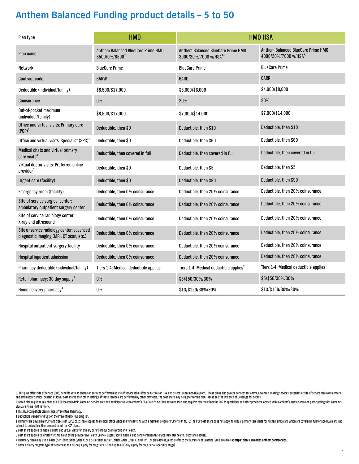| Plan type                                                                             | HM <sub>0</sub>                                    |                                                                                              | <b>HMO HSA</b>                                                                            |
|---------------------------------------------------------------------------------------|----------------------------------------------------|----------------------------------------------------------------------------------------------|-------------------------------------------------------------------------------------------|
| Plan name                                                                             | Anthem Balanced BlueCare Prime HMO<br>8500/0%/8500 | Anthem Balanced BlueCare Prime HMO<br>3000/20%/7000 w/HSA <sup>t,<math>\diamond</math></sup> | Anthem Balanced BlueCare Prime HMO<br>4000/20%/7000 w/HSA <sup>t,<math>\circ</math></sup> |
| Network                                                                               | <b>BlueCare Prime</b>                              | <b>BlueCare Prime</b>                                                                        | <b>BlueCare Prime</b>                                                                     |
| <b>Contract code</b>                                                                  | <b>GARW</b>                                        | 6ARO                                                                                         | <b>6ARR</b>                                                                               |
| Deductible (individual/family)                                                        | \$8,500/\$17,000                                   | \$3,000/\$6,000                                                                              | \$4,000/\$8,000                                                                           |
| Coinsurance                                                                           | 0%                                                 | 20%                                                                                          | 20%                                                                                       |
| Out-of-pocket maximum<br>(individual/family)                                          | \$8,500/\$17,000                                   | \$7,000/\$14,000                                                                             | \$7,000/\$14,000                                                                          |
| Office and virtual visits: Primary care<br>$(PCP)^1$                                  | Deductible, then \$0                               | Deductible, then \$10                                                                        | Deductible, then \$10                                                                     |
| Office and virtual visits: Specialist (SPC) <sup>1</sup>                              | Deductible, then \$0                               | Deductible, then \$60                                                                        | Deductible, then \$60                                                                     |
| Medical chats and virtual primary<br>care visits <sup>2</sup>                         | Deductible, then covered in full                   | Deductible, then covered in full                                                             | Deductible, then covered in full                                                          |
| Virtual doctor visits: Preferred online<br>provider <sup>3</sup>                      | Deductible, then \$0                               | Deductible, then \$5                                                                         | Deductible, then \$5                                                                      |
| Urgent care (facility)                                                                | Deductible, then \$0                               | Deductible, then \$90                                                                        | Deductible, then \$90                                                                     |
| Emergency room (facility)                                                             | Deductible, then 0% coinsurance                    | Deductible, then 20% coinsurance                                                             | Deductible, then 20% coinsurance                                                          |
| Site of service surgical center:<br>ambulatory outpatient surgery center              | Deductible, then 0% coinsurance                    | Deductible, then 20% coinsurance                                                             | Deductible, then 20% coinsurance                                                          |
| Site of service radiology center:<br>X-ray and ultrasound                             | Deductible, then 0% coinsurance                    | Deductible, then 20% coinsurance                                                             | Deductible, then 20% coinsurance                                                          |
| Site of service radiology center: advanced<br>diagnostic imaging (MRI, CT scan, etc.) | Deductible, then 0% coinsurance                    | Deductible, then 20% coinsurance                                                             | Deductible, then 20% coinsurance                                                          |
| Hospital outpatient surgery facility                                                  | Deductible, then 0% coinsurance                    | Deductible, then 20% coinsurance                                                             | Deductible, then 20% coinsurance                                                          |
| Hospital inpatient admission                                                          | Deductible, then 0% coinsurance                    | Deductible, then 20% coinsurance                                                             | Deductible, then 20% coinsurance                                                          |
| Pharmacy deductible (individual/family)                                               | Tiers 1-4: Medical deductible applies              | Tiers 1-4: Medical deductible applies <sup>+</sup>                                           | Tiers 1-4: Medical deductible applies <sup>#</sup>                                        |
| Retail pharmacy: 30-day supply <sup>4</sup>                                           | $0\%$                                              | \$5/\$50/30%/30%                                                                             | \$5/\$50/30%/30%                                                                          |
| Home delivery pharmacy <sup>4,5</sup>                                                 | 0%                                                 | \$13/\$150/30%/30%                                                                           | \$13/\$150/30%/30%                                                                        |

Ω This plan offers site of service (SOS) benefits with no charge on services performed at site of service labs (after deductible on HSA and Select Bronze non-HSA plans). These plans also provide services for x-rays, advan and ambulatory surgical centers at lower cost shares than other settings. If these services are performed by other providers, the cost share may be higher for the plan. Please see the Evidence of Coverage for details. ◆ Gated plan requiring selection of a PCP located within Anthem's service area and participating with Anthem's BlueCare Prime HMO network. Plan also requires referrals from the PCP to specialists and other providers locat

BlueCare Prime HMO network.

† This HSA-compatible plan includes Preventive Pharmacy.

‡ Deductible waived for drugs on the PreventiveRx Plus drug list.

1 Primary care physician (PCP) and Specialist (SPC) cost share applies to medical office visits and virtual visits with a member's regular PCP or SPC. NOTE: The PCP cost share does not apply to virtual primary care visits subject to deductible, then covered in full for HSA plans.

2 Cost share applies to medical chats and virtual visits for primary care from our online provider K Health.

3 Cost share applies to virtual visits from our online provider LiveHealth Online – urgent/acute medical and behavioral health services (mental health / substance abuse).

4 Pharmacy plans may use a 4-Tier (tier 1/tier 2/tier 3/tier 4) or a 5-Tier (tier 1a/tier 1b/tier 2/tier 19 drug list. For plan details, please refer to the Summary of Benefits (SOB) available at https:/plan-summaries.anth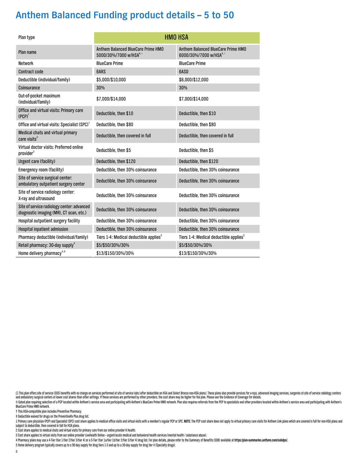| Plan type                                                                             |                                                                          | <b>HMO HSA</b>                                                            |
|---------------------------------------------------------------------------------------|--------------------------------------------------------------------------|---------------------------------------------------------------------------|
| Plan name                                                                             | Anthem Balanced BlueCare Prime HMO<br>5000/30%/7000 w/HSA <sup>t,®</sup> | Anthem Balanced BlueCare Prime HMO<br>6000/30%/7000 w/HSA <sup>t, o</sup> |
| <b>Network</b>                                                                        | <b>BlueCare Prime</b>                                                    | <b>BlueCare Prime</b>                                                     |
| <b>Contract code</b>                                                                  | <b>GARS</b>                                                              | <b>GASD</b>                                                               |
| Deductible (individual/family)                                                        | \$5,000/\$10,000                                                         | \$6,000/\$12,000                                                          |
| Coinsurance                                                                           | 30%                                                                      | 30%                                                                       |
| Out-of-pocket maximum<br>(individual/family)                                          | \$7,000/\$14,000                                                         | \$7,000/\$14,000                                                          |
| Office and virtual visits: Primary care<br>$(PCP)^1$                                  | Deductible, then \$10                                                    | Deductible, then \$10                                                     |
| Office and virtual visits: Specialist (SPC) <sup>1</sup>                              | Deductible, then \$80                                                    | Deductible, then \$80                                                     |
| Medical chats and virtual primary<br>care visits <sup>2</sup>                         | Deductible, then covered in full                                         | Deductible, then covered in full                                          |
| Virtual doctor visits: Preferred online<br>provider <sup>3</sup>                      | Deductible, then \$5                                                     | Deductible, then \$5                                                      |
| Urgent care (facility)                                                                | Deductible, then \$120                                                   | Deductible, then \$120                                                    |
| Emergency room (facility)                                                             | Deductible, then 30% coinsurance                                         | Deductible, then 30% coinsurance                                          |
| Site of service surgical center:<br>ambulatory outpatient surgery center              | Deductible, then 30% coinsurance                                         | Deductible, then 30% coinsurance                                          |
| Site of service radiology center:<br>X-ray and ultrasound                             | Deductible, then 30% coinsurance                                         | Deductible, then 30% coinsurance                                          |
| Site of service radiology center: advanced<br>diagnostic imaging (MRI, CT scan, etc.) | Deductible, then 30% coinsurance                                         | Deductible, then 30% coinsurance                                          |
| Hospital outpatient surgery facility                                                  | Deductible, then 30% coinsurance                                         | Deductible, then 30% coinsurance                                          |
| Hospital inpatient admission                                                          | Deductible, then 30% coinsurance                                         | Deductible, then 30% coinsurance                                          |
| Pharmacy deductible (individual/family)                                               | Tiers 1-4: Medical deductible applies <sup><math>+</math></sup>          | Tiers 1-4: Medical deductible applies <sup><math>+</math></sup>           |
| Retail pharmacy: 30-day supply <sup>4</sup>                                           | \$5/\$50/30%/30%                                                         | \$5/\$50/30%/30%                                                          |
| Home delivery pharmacy <sup>4,5</sup>                                                 | \$13/\$150/30%/30%                                                       | \$13/\$150/30%/30%                                                        |

Ω This plan offers site of service (SOS) benefits with no charge on services performed at site of service labs (after deductible on HSA and Select Bronze non-HSA plans). These plans also provide services for x-rays, advan and ambulatory surgical centers at lower cost shares than other settings. If these services are performed by other providers, the cost share may be higher for the plan. Please see the Evidence of Coverage for details. ◆ Gated plan requiring selection of a PCP located within Anthem's service area and participating with Anthem's BlueCare Prime HMO network. Plan also requires referrals from the PCP to specialists and other providers locat

BlueCare Prime HMO network.

† This HSA-compatible plan includes Preventive Pharmacy.

‡ Deductible waived for drugs on the PreventiveRx Plus drug list.

1 Primary care physician (PCP) and Specialist (SPC) cost share applies to medical office visits and virtual visits with a member's regular PCP or SPC. NOTE: The PCP cost share does not apply to virtual primary care visits subject to deductible, then covered in full for HSA plans.

2 Cost share applies to medical chats and virtual visits for primary care from our online provider K Health.

3 Cost share applies to virtual visits from our online provider LiveHealth Online – urgent/acute medical and behavioral health services (mental health / substance abuse).

4 Pharmacy plans may use a 4-Tier (tier 1/tier 2/tier 3/tier 4) or a 5-Tier (tier 1a/tier 1b/tier 2/tier 19 drug list. For plan details, please refer to the Summary of Benefits (SOB) available at https:/plan-summaries.anth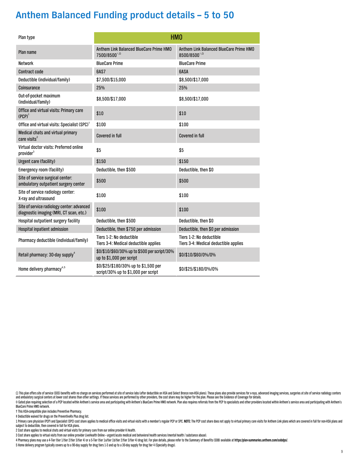| Plan type                                                                             |                                                                             | HM <sub>0</sub>                                                        |
|---------------------------------------------------------------------------------------|-----------------------------------------------------------------------------|------------------------------------------------------------------------|
| Plan name                                                                             | Anthem Link Balanced BlueCare Prime HMO<br>7500/8500°, 0                    | Anthem Link Balanced BlueCare Prime HMO<br>$8500/8500^{\circ, \Omega}$ |
| <b>Network</b>                                                                        | <b>BlueCare Prime</b>                                                       | <b>BlueCare Prime</b>                                                  |
| <b>Contract code</b>                                                                  | 6AS7                                                                        | <b>GASA</b>                                                            |
| Deductible (individual/family)                                                        | \$7,500/\$15,000                                                            | \$8,500/\$17,000                                                       |
| Coinsurance                                                                           | 25%                                                                         | 25%                                                                    |
| Out-of-pocket maximum<br>(individual/family)                                          | \$8,500/\$17,000                                                            | \$8,500/\$17,000                                                       |
| Office and virtual visits: Primary care<br>$(PCP)^1$                                  | \$10                                                                        | \$10                                                                   |
| Office and virtual visits: Specialist (SPC) <sup>1</sup>                              | \$100                                                                       | \$100                                                                  |
| Medical chats and virtual primary<br>care visits <sup>2</sup>                         | <b>Covered in full</b>                                                      | <b>Covered in full</b>                                                 |
| Virtual doctor visits: Preferred online<br>provider <sup>3</sup>                      | \$5                                                                         | \$5                                                                    |
| <b>Urgent care (facility)</b>                                                         | \$150                                                                       | \$150                                                                  |
| Emergency room (facility)                                                             | Deductible, then \$500                                                      | Deductible, then \$0                                                   |
| Site of service surgical center:<br>ambulatory outpatient surgery center              | \$500                                                                       | \$500                                                                  |
| Site of service radiology center:<br>X-ray and ultrasound                             | \$100                                                                       | \$100                                                                  |
| Site of service radiology center: advanced<br>diagnostic imaging (MRI, CT scan, etc.) | \$100                                                                       | \$100                                                                  |
| Hospital outpatient surgery facility                                                  | Deductible, then \$500                                                      | Deductible, then \$0                                                   |
| Hospital inpatient admission                                                          | Deductible, then \$750 per admission                                        | Deductible, then \$0 per admission                                     |
| Pharmacy deductible (individual/family)                                               | Tiers 1-2: No deductible<br>Tiers 3-4: Medical deductible applies           | Tiers 1-2: No deductible<br>Tiers 3-4: Medical deductible applies      |
| Retail pharmacy: 30-day supply <sup>4</sup>                                           | \$0/\$10/\$60/30% up to \$500 per script/30%<br>up to \$1,000 per script    | \$0/\$10/\$60/0%/0%                                                    |
| Home delivery pharmacy <sup>4,5</sup>                                                 | \$0/\$25/\$180/30% up to \$1,500 per<br>script/30% up to \$1,000 per script | \$0/\$25/\$180/0%/0%                                                   |

Ω This plan offers site of service (SOS) benefits with no charge on services performed at site of service labs (after deductible on HSA and Select Bronze non-HSA plans). These plans also provide services for x-rays, advan and ambulatory surgical centers at lower cost shares than other settings. If these services are performed by other providers, the cost share may be higher for the plan. Please see the Evidence of Coverage for details. ◆ Gated plan requiring selection of a PCP located within Anthem's service area and participating with Anthem's BlueCare Prime HMO network. Plan also requires referrals from the PCP to specialists and other providers locat

BlueCare Prime HMO network.

† This HSA-compatible plan includes Preventive Pharmacy.

‡ Deductible waived for drugs on the PreventiveRx Plus drug list.

1 Primary care physician (PCP) and Specialist (SPC) cost share applies to medical office visits and virtual visits with a member's regular PCP or SPC. NOTE: The PCP cost share does not apply to virtual primary care visits subject to deductible, then covered in full for HSA plans.

2 Cost share applies to medical chats and virtual visits for primary care from our online provider K Health.

3 Cost share applies to virtual visits from our online provider LiveHealth Online – urgent/acute medical and behavioral health services (mental health / substance abuse).

4 Pharmacy plans may use a 4-Tier (tier 1/tier 2/tier 3/tier 4) or a 5-Tier (tier 1a/tier 1b/tier 2/tier 19 drug list. For plan details, please refer to the Summary of Benefits (SOB) available at https:/plan-summaries.anth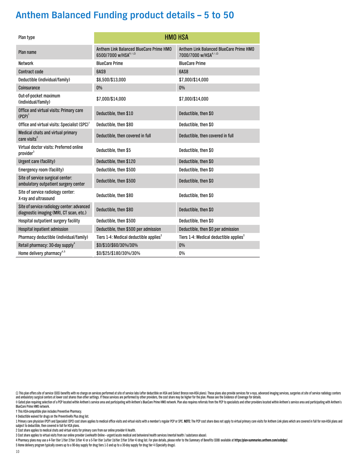| Plan type                                                                             |                                                                               | <b>HMO HSA</b>                                                                 |
|---------------------------------------------------------------------------------------|-------------------------------------------------------------------------------|--------------------------------------------------------------------------------|
| Plan name                                                                             | Anthem Link Balanced BlueCare Prime HMO<br>6500/7000 w/HSA <sup>t, o, Ω</sup> | Anthem Link Balanced BlueCare Prime HMO<br>7000/7000 w/HSA <sup>t, o</sup> , Ω |
| <b>Network</b>                                                                        | <b>BlueCare Prime</b>                                                         | <b>BlueCare Prime</b>                                                          |
| <b>Contract code</b>                                                                  | <b>6AS9</b>                                                                   | <b>6AS8</b>                                                                    |
| Deductible (individual/family)                                                        | \$6,500/\$13,000                                                              | \$7,000/\$14,000                                                               |
| Coinsurance                                                                           | 0%                                                                            | 0%                                                                             |
| Out-of-pocket maximum<br>(individual/family)                                          | \$7,000/\$14,000                                                              | \$7,000/\$14,000                                                               |
| Office and virtual visits: Primary care<br>$(PCP)^1$                                  | Deductible, then \$10                                                         | Deductible, then \$0                                                           |
| Office and virtual visits: Specialist (SPC) <sup>1</sup>                              | Deductible, then \$80                                                         | Deductible, then \$0                                                           |
| Medical chats and virtual primary<br>care visits $2$                                  | Deductible, then covered in full                                              | Deductible, then covered in full                                               |
| Virtual doctor visits: Preferred online<br>provider <sup>3</sup>                      | Deductible, then \$5                                                          | Deductible, then \$0                                                           |
| <b>Urgent care (facility)</b>                                                         | Deductible, then \$120                                                        | Deductible, then \$0                                                           |
| Emergency room (facility)                                                             | Deductible, then \$500                                                        | Deductible, then \$0                                                           |
| Site of service surgical center:<br>ambulatory outpatient surgery center              | Deductible, then \$500                                                        | Deductible, then \$0                                                           |
| Site of service radiology center:<br>X-ray and ultrasound                             | Deductible, then \$80                                                         | Deductible, then \$0                                                           |
| Site of service radiology center: advanced<br>diagnostic imaging (MRI, CT scan, etc.) | Deductible, then \$80                                                         | Deductible, then \$0                                                           |
| Hospital outpatient surgery facility                                                  | Deductible, then \$500                                                        | Deductible, then \$0                                                           |
| Hospital inpatient admission                                                          | Deductible, then \$500 per admission                                          | Deductible, then \$0 per admission                                             |
| Pharmacy deductible (individual/family)                                               | Tiers 1-4: Medical deductible applies <sup>+</sup>                            | Tiers 1-4: Medical deductible applies <sup><math>+</math></sup>                |
| Retail pharmacy: 30-day supply <sup>4</sup>                                           | \$0/\$10/\$60/30%/30%                                                         | $0\%$                                                                          |
| Home delivery pharmacy <sup>4,5</sup>                                                 | \$0/\$25/\$180/30%/30%                                                        | 0%                                                                             |

Ω This plan offers site of service (SOS) benefits with no charge on services performed at site of service labs (after deductible on HSA and Select Bronze non-HSA plans). These plans also provide services for x-rays, advan and ambulatory surgical centers at lower cost shares than other settings. If these services are performed by other providers, the cost share may be higher for the plan. Please see the Evidence of Coverage for details. ◆ Gated plan requiring selection of a PCP located within Anthem's service area and participating with Anthem's BlueCare Prime HMO network. Plan also requires referrals from the PCP to specialists and other providers locat

BlueCare Prime HMO network.

† This HSA-compatible plan includes Preventive Pharmacy.

‡ Deductible waived for drugs on the PreventiveRx Plus drug list.

1 Primary care physician (PCP) and Specialist (SPC) cost share applies to medical office visits and virtual visits with a member's regular PCP or SPC. NOTE: The PCP cost share does not apply to virtual primary care visits subject to deductible, then covered in full for HSA plans.

2 Cost share applies to medical chats and virtual visits for primary care from our online provider K Health.

3 Cost share applies to virtual visits from our online provider LiveHealth Online – urgent/acute medical and behavioral health services (mental health / substance abuse).

4 Pharmacy plans may use a 4-Tier (tier 1/tier 2/tier 3/tier 4) or a 5-Tier (tier 1a/tier 1b/tier 2/tier 19 drug list. For plan details, please refer to the Summary of Benefits (SOB) available at https:/plan-summaries.anth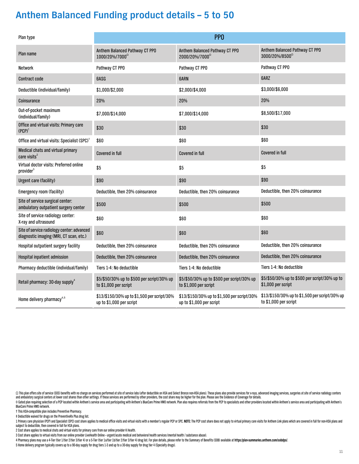| Plan type                                                                             |                                                                         | PP <sub>0</sub>                                                         |                                                                         |
|---------------------------------------------------------------------------------------|-------------------------------------------------------------------------|-------------------------------------------------------------------------|-------------------------------------------------------------------------|
| Plan name                                                                             | Anthem Balanced Pathway CT PPO<br>1000/20%/7000 <sup>2</sup>            | Anthem Balanced Pathway CT PPO<br>2000/20%/7000 <sup>2</sup>            | Anthem Balanced Pathway CT PPO<br>3000/20%/8500 <sup>2</sup>            |
| Network                                                                               | Pathway CT PPO                                                          | Pathway CT PPO                                                          | Pathway CT PPO                                                          |
| <b>Contract code</b>                                                                  | 6ASG                                                                    | <b>GARN</b>                                                             | 6ARZ                                                                    |
| Deductible (individual/family)                                                        | \$1,000/\$2,000                                                         | \$2,000/\$4,000                                                         | \$3,000/\$6,000                                                         |
| Coinsurance                                                                           | 20%                                                                     | 20%                                                                     | 20%                                                                     |
| Out-of-pocket maximum<br>(individual/family)                                          | \$7,000/\$14,000                                                        | \$7,000/\$14,000                                                        | \$8,500/\$17,000                                                        |
| Office and virtual visits: Primary care<br>$(PCP)^1$                                  | \$30                                                                    | \$30                                                                    | \$30                                                                    |
| Office and virtual visits: Specialist (SPC) <sup>1</sup>                              | \$60                                                                    | \$60                                                                    | \$60                                                                    |
| Medical chats and virtual primary<br>care visits <sup>2</sup>                         | <b>Covered in full</b>                                                  | Covered in full                                                         | <b>Covered in full</b>                                                  |
| Virtual doctor visits: Preferred online<br>provider <sup>3</sup>                      | \$5                                                                     | \$5                                                                     | \$5                                                                     |
| <b>Urgent care (facility)</b>                                                         | \$90                                                                    | \$90                                                                    | \$90                                                                    |
| Emergency room (facility)                                                             | Deductible, then 20% coinsurance                                        | Deductible, then 20% coinsurance                                        | Deductible, then 20% coinsurance                                        |
| Site of service surgical center:<br>ambulatory outpatient surgery center              | \$500                                                                   | \$500                                                                   | \$500                                                                   |
| Site of service radiology center:<br>X-ray and ultrasound                             | \$60                                                                    | \$60                                                                    | \$60                                                                    |
| Site of service radiology center: advanced<br>diagnostic imaging (MRI, CT scan, etc.) | \$60                                                                    | \$60                                                                    | \$60                                                                    |
| Hospital outpatient surgery facility                                                  | Deductible, then 20% coinsurance                                        | Deductible, then 20% coinsurance                                        | Deductible, then 20% coinsurance                                        |
| Hospital inpatient admission                                                          | Deductible, then 20% coinsurance                                        | Deductible, then 20% coinsurance                                        | Deductible, then 20% coinsurance                                        |
| Pharmacy deductible (individual/family)                                               | Tiers 1-4: No deductible                                                | Tiers 1-4: No deductible                                                | Tiers 1-4: No deductible                                                |
| Retail pharmacy: 30-day supply <sup>4</sup>                                           | \$5/\$50/30% up to \$500 per script/30% up<br>to \$1,000 per script     | \$5/\$50/30% up to \$500 per script/30% up<br>to \$1,000 per script     | \$5/\$50/30% up to \$500 per script/30% up to<br>\$1,000 per script     |
| Home delivery pharmacy <sup>4,5</sup>                                                 | \$13/\$150/30% up to \$1,500 per script/30%<br>up to \$1,000 per script | \$13/\$150/30% up to \$1,500 per script/30%<br>up to \$1,000 per script | \$13/\$150/30% up to \$1,500 per script/30% up<br>to \$1,000 per script |

Ω This plan offers site of service (SOS) benefits with no charge on services performed at site of service labs (after deductible on HSA and Select Bronze non-HSA plans). These plans also provide services for x-rays, advan

◆ Gated plan requiring selection of a PCP located within Anthem's service area and participating with Anthem's BlueCare Prime HMO network. Plan also requires referrals from the PCP to specialists and other providers locat BlueCare Prime HMO network.

† This HSA-compatible plan includes Preventive Pharmacy.

‡ Deductible waived for drugs on the PreventiveRx Plus drug list.

1 Primary care physician (PCP) and Specialist (SPC) cost share applies to medical office visits and virtual visits with a member's regular PCP or SPC. NOTE: The PCP cost share does not apply to virtual primary care visits subject to deductible, then covered in full for HSA plans.

2 Cost share applies to medical chats and virtual visits for primary care from our online provider K Health.

3 Cost share applies to virtual visits from our online provider LiveHealth Online – urgent/acute medical and behavioral health services (mental health / substance abuse).

4 Pharmacy plans may use a 4-Tier (tier 1/tier 2/tier 3/tier 4) or a 5-Tier (tier 1a/tier 1b/tier 2/tier 2/tier 9 of a 5-Tier (tier 1a/tier 1b/tier 2/tier 2/tier 3/tier 4) drug list. For plan details, please refer to the S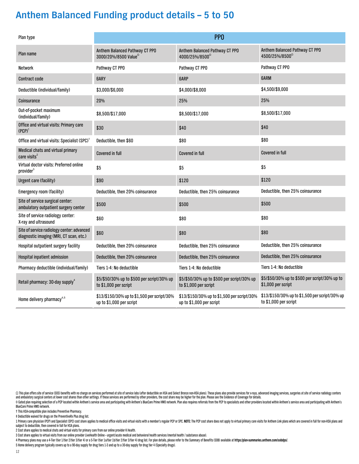| Plan type                                                                             |                                                                         | PP <sub>0</sub>                                                         |                                                                         |
|---------------------------------------------------------------------------------------|-------------------------------------------------------------------------|-------------------------------------------------------------------------|-------------------------------------------------------------------------|
| Plan name                                                                             | Anthem Balanced Pathway CT PPO<br>3000/20%/8500 Value <sup>22</sup>     | Anthem Balanced Pathway CT PPO<br>4000/25%/8500 <sup>2</sup>            | Anthem Balanced Pathway CT PPO<br>4500/25%/8500 <sup>2</sup>            |
| Network                                                                               | Pathway CT PPO                                                          | Pathway CT PPO                                                          | Pathway CT PPO                                                          |
| <b>Contract code</b>                                                                  | <b>GARY</b>                                                             | <b>GARP</b>                                                             | <b>6ARM</b>                                                             |
| Deductible (individual/family)                                                        | \$3,000/\$6,000                                                         | \$4,000/\$8,000                                                         | \$4,500/\$9,000                                                         |
| Coinsurance                                                                           | 20%                                                                     | 25%                                                                     | 25%                                                                     |
| Out-of-pocket maximum<br>(individual/family)                                          | \$8,500/\$17,000                                                        | \$8,500/\$17,000                                                        | \$8,500/\$17,000                                                        |
| Office and virtual visits: Primary care<br>$(PCP)^1$                                  | \$30                                                                    | \$40                                                                    | \$40                                                                    |
| Office and virtual visits: Specialist (SPC) <sup>1</sup>                              | Deductible, then \$60                                                   | \$80                                                                    | \$80                                                                    |
| Medical chats and virtual primary<br>care visits <sup>2</sup>                         | <b>Covered in full</b>                                                  | <b>Covered in full</b>                                                  | <b>Covered in full</b>                                                  |
| Virtual doctor visits: Preferred online<br>provider <sup>3</sup>                      | \$5                                                                     | \$5                                                                     | \$5                                                                     |
| <b>Urgent care (facility)</b>                                                         | \$90                                                                    | \$120                                                                   | \$120                                                                   |
| Emergency room (facility)                                                             | Deductible, then 20% coinsurance                                        | Deductible, then 25% coinsurance                                        | Deductible, then 25% coinsurance                                        |
| Site of service surgical center:<br>ambulatory outpatient surgery center              | \$500                                                                   | \$500                                                                   | \$500                                                                   |
| Site of service radiology center:<br>X-ray and ultrasound                             | \$60                                                                    | \$80                                                                    | \$80                                                                    |
| Site of service radiology center: advanced<br>diagnostic imaging (MRI, CT scan, etc.) | \$60                                                                    | \$80                                                                    | \$80                                                                    |
| Hospital outpatient surgery facility                                                  | Deductible, then 20% coinsurance                                        | Deductible, then 25% coinsurance                                        | Deductible, then 25% coinsurance                                        |
| Hospital inpatient admission                                                          | Deductible, then 20% coinsurance                                        | Deductible, then 25% coinsurance                                        | Deductible, then 25% coinsurance                                        |
| Pharmacy deductible (individual/family)                                               | Tiers 1-4: No deductible                                                | Tiers 1-4: No deductible                                                | Tiers 1-4: No deductible                                                |
| Retail pharmacy: 30-day supply <sup>4</sup>                                           | \$5/\$50/30% up to \$500 per script/30% up<br>to \$1,000 per script     | \$5/\$50/30% up to \$500 per script/30% up<br>to \$1,000 per script     | \$5/\$50/30% up to \$500 per script/30% up to<br>\$1,000 per script     |
| Home delivery pharmacy <sup>4,5</sup>                                                 | \$13/\$150/30% up to \$1,500 per script/30%<br>up to \$1,000 per script | \$13/\$150/30% up to \$1,500 per script/30%<br>up to \$1,000 per script | \$13/\$150/30% up to \$1,500 per script/30% up<br>to \$1,000 per script |

Ω This plan offers site of service (SOS) benefits with no charge on services performed at site of service labs (after deductible on HSA and Select Bronze non-HSA plans). These plans also provide services for x-rays, advan and ambulatory surgical centers at lower cost shares than other settings. If these services are performed by other providers, the cost share may be higher for the plan. Please see the Evidence of Coverage for details.

◆ Gated plan requiring selection of a PCP located within Anthem's service area and participating with Anthem's BlueCare Prime HMO network. Plan also requires referrals from the PCP to specialists and other providers locat BlueCare Prime HMO network.

† This HSA-compatible plan includes Preventive Pharmacy.

‡ Deductible waived for drugs on the PreventiveRx Plus drug list.

1 Primary care physician (PCP) and Specialist (SPC) cost share applies to medical office visits and virtual visits with a member's regular PCP or SPC. NOTE: The PCP cost share does not apply to virtual primary care visits subject to deductible, then covered in full for HSA plans.

2 Cost share applies to medical chats and virtual visits for primary care from our online provider K Health.

3 Cost share applies to virtual visits from our online provider LiveHealth Online – urgent/acute medical and behavioral health services (mental health / substance abuse).

4 Pharmacy plans may use a 4-Tier (tier 1/tier 2/tier 3/tier 4) or a 5-Tier (tier 1a/tier 1b/tier 2/tier 19 drug list. For plan details, please refer to the Summary of Benefits (SOB) available at https:/plan-summaries.anth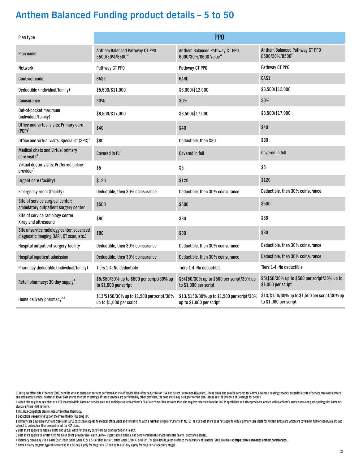| Plan type                                                                             |                                                                         | PP <sub>0</sub>                                                         |                                                                         |
|---------------------------------------------------------------------------------------|-------------------------------------------------------------------------|-------------------------------------------------------------------------|-------------------------------------------------------------------------|
| Plan name                                                                             | Anthem Balanced Pathway CT PPO<br>5500/30%/8500 <sup>2</sup>            | Anthem Balanced Pathway CT PPO<br>6000/30%/8500 Value <sup>2</sup>      | Anthem Balanced Pathway CT PPO<br>6500/30%/8500 <sup>2</sup>            |
| Network                                                                               | Pathway CT PPO                                                          | Pathway CT PPO                                                          | Pathway CT PPO                                                          |
| <b>Contract code</b>                                                                  | 6AS2                                                                    | 6ARG                                                                    | 6AS1                                                                    |
| Deductible (individual/family)                                                        | \$5,500/\$11,000                                                        | \$6,000/\$12,000                                                        | \$6,500/\$13,000                                                        |
| Coinsurance                                                                           | 30%                                                                     | 30%                                                                     | 30%                                                                     |
| Out-of-pocket maximum<br>(individual/family)                                          | \$8,500/\$17,000                                                        | \$8,500/\$17,000                                                        | \$8,500/\$17,000                                                        |
| Office and virtual visits: Primary care<br>$(PCP)^1$                                  | \$40                                                                    | \$40                                                                    | \$40                                                                    |
| Office and virtual visits: Specialist (SPC) <sup>1</sup>                              | \$80                                                                    | Deductible, then \$80                                                   | \$80                                                                    |
| Medical chats and virtual primary<br>care visits <sup>2</sup>                         | <b>Covered in full</b>                                                  | Covered in full                                                         | <b>Covered in full</b>                                                  |
| Virtual doctor visits: Preferred online<br>provider <sup>3</sup>                      | \$5                                                                     | \$5                                                                     | \$5                                                                     |
| <b>Urgent care (facility)</b>                                                         | \$120                                                                   | \$120                                                                   | \$120                                                                   |
| Emergency room (facility)                                                             | Deductible, then 30% coinsurance                                        | Deductible, then 30% coinsurance                                        | Deductible, then 30% coinsurance                                        |
| Site of service surgical center:<br>ambulatory outpatient surgery center              | \$500                                                                   | \$500                                                                   | \$500                                                                   |
| Site of service radiology center:<br>X-ray and ultrasound                             | \$80                                                                    | \$80                                                                    | \$80                                                                    |
| Site of service radiology center: advanced<br>diagnostic imaging (MRI, CT scan, etc.) | \$80                                                                    | \$80                                                                    | \$80                                                                    |
| Hospital outpatient surgery facility                                                  | Deductible, then 30% coinsurance                                        | Deductible, then 30% coinsurance                                        | Deductible, then 30% coinsurance                                        |
| Hospital inpatient admission                                                          | Deductible, then 30% coinsurance                                        | Deductible, then 30% coinsurance                                        | Deductible, then 30% coinsurance                                        |
| Pharmacy deductible (individual/family)                                               | Tiers 1-4: No deductible                                                | Tiers 1-4: No deductible                                                | Tiers 1-4: No deductible                                                |
| Retail pharmacy: 30-day supply <sup>4</sup>                                           | \$5/\$50/30% up to \$500 per script/30% up<br>to \$1,000 per script     | \$5/\$50/30% up to \$500 per script/30% up<br>to \$1,000 per script     | \$5/\$50/30% up to \$500 per script/30% up to<br>\$1,000 per script     |
| Home delivery pharmacy <sup>4,5</sup>                                                 | \$13/\$150/30% up to \$1,500 per script/30%<br>up to \$1,000 per script | \$13/\$150/30% up to \$1,500 per script/30%<br>up to \$1,000 per script | \$13/\$150/30% up to \$1,500 per script/30% up<br>to \$1,000 per script |

Ω This plan offers site of service (SOS) benefits with no charge on services performed at site of service labs (after deductible on HSA and Select Bronze non-HSA plans). These plans also provide services for x-rays, advan

◆ Gated plan requiring selection of a PCP located within Anthem's service area and participating with Anthem's BlueCare Prime HMO network. Plan also requires referrals from the PCP to specialists and other providers locat BlueCare Prime HMO network.

† This HSA-compatible plan includes Preventive Pharmacy.

‡ Deductible waived for drugs on the PreventiveRx Plus drug list.

1 Primary care physician (PCP) and Specialist (SPC) cost share applies to medical office visits and virtual visits with a member's regular PCP or SPC. NOTE: The PCP cost share does not apply to virtual primary care visits subject to deductible, then covered in full for HSA plans.

2 Cost share applies to medical chats and virtual visits for primary care from our online provider K Health.

3 Cost share applies to virtual visits from our online provider LiveHealth Online – urgent/acute medical and behavioral health services (mental health / substance abuse).

4 Pharmacy plans may use a 4-Tier (tier 1/tier 2/tier 3/tier 4) or a 5-Tier (tier 1a/tier 1b/tier 2/tier 2/tier 9 of a 5-Tier (tier 1a/tier 1b/tier 2/tier 2/tier 3/tier 4) drug list. For plan details, please refer to the S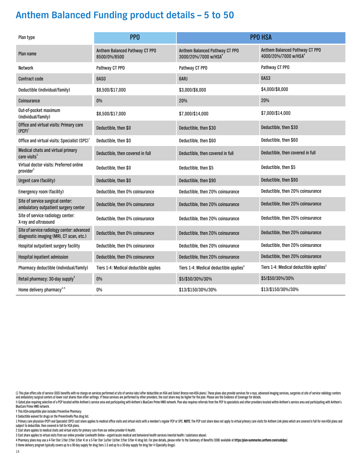| Plan type                                                                             | PP <sub>0</sub>                                |                                                                    | <b>PPO HSA</b>                                                     |
|---------------------------------------------------------------------------------------|------------------------------------------------|--------------------------------------------------------------------|--------------------------------------------------------------------|
| Plan name                                                                             | Anthem Balanced Pathway CT PPO<br>8500/0%/8500 | Anthem Balanced Pathway CT PPO<br>3000/20%/7000 w/HSA <sup>+</sup> | Anthem Balanced Pathway CT PPO<br>4000/20%/7000 w/HSA <sup>+</sup> |
| Network                                                                               | Pathway CT PPO                                 | Pathway CT PPO                                                     | Pathway CT PPO                                                     |
| <b>Contract code</b>                                                                  | 6ASO                                           | 6ARJ                                                               | 6AS3                                                               |
| Deductible (individual/family)                                                        | \$8,500/\$17,000                               | \$3,000/\$6,000                                                    | \$4,000/\$8,000                                                    |
| Coinsurance                                                                           | 0%                                             | 20%                                                                | 20%                                                                |
| Out-of-pocket maximum<br>(individual/family)                                          | \$8,500/\$17,000                               | \$7,000/\$14,000                                                   | \$7,000/\$14,000                                                   |
| Office and virtual visits: Primary care<br>$(PCP)^1$                                  | Deductible, then \$0                           | Deductible, then \$30                                              | Deductible, then \$30                                              |
| Office and virtual visits: Specialist (SPC) <sup>1</sup>                              | Deductible, then \$0                           | Deductible, then \$60                                              | Deductible, then \$60                                              |
| Medical chats and virtual primary<br>care visits <sup>2</sup>                         | Deductible, then covered in full               | Deductible, then covered in full                                   | Deductible, then covered in full                                   |
| Virtual doctor visits: Preferred online<br>provider <sup>3</sup>                      | Deductible, then \$0                           | Deductible, then \$5                                               | Deductible, then \$5                                               |
| Urgent care (facility)                                                                | Deductible, then \$0                           | Deductible, then \$90                                              | Deductible, then \$90                                              |
| Emergency room (facility)                                                             | Deductible, then 0% coinsurance                | Deductible, then 20% coinsurance                                   | Deductible, then 20% coinsurance                                   |
| Site of service surgical center:<br>ambulatory outpatient surgery center              | Deductible, then 0% coinsurance                | Deductible, then 20% coinsurance                                   | Deductible, then 20% coinsurance                                   |
| Site of service radiology center:<br>X-ray and ultrasound                             | Deductible, then 0% coinsurance                | Deductible, then 20% coinsurance                                   | Deductible, then 20% coinsurance                                   |
| Site of service radiology center: advanced<br>diagnostic imaging (MRI, CT scan, etc.) | Deductible, then 0% coinsurance                | Deductible, then 20% coinsurance                                   | Deductible, then 20% coinsurance                                   |
| Hospital outpatient surgery facility                                                  | Deductible, then 0% coinsurance                | Deductible, then 20% coinsurance                                   | Deductible, then 20% coinsurance                                   |
| Hospital inpatient admission                                                          | Deductible, then 0% coinsurance                | Deductible, then 20% coinsurance                                   | Deductible, then 20% coinsurance                                   |
| Pharmacy deductible (individual/family)                                               | Tiers 1-4: Medical deductible applies          | Tiers 1-4: Medical deductible applies <sup>+</sup>                 | Tiers 1-4: Medical deductible applies <sup>#</sup>                 |
| Retail pharmacy: 30-day supply <sup>4</sup>                                           | $0\%$                                          | \$5/\$50/30%/30%                                                   | \$5/\$50/30%/30%                                                   |
| Home delivery pharmacy <sup>4,5</sup>                                                 | 0%                                             | \$13/\$150/30%/30%                                                 | \$13/\$150/30%/30%                                                 |

Ω This plan offers site of service (SOS) benefits with no charge on services performed at site of service labs (after deductible on HSA and Select Bronze non-HSA plans). These plans also provide services for x-rays, advan and ambulatory surgical centers at lower cost shares than other settings. If these services are performed by other providers, the cost share may be higher for the plan. Please see the Evidence of Coverage for details.

◆ Gated plan requiring selection of a PCP located within Anthem's service area and participating with Anthem's BlueCare Prime HMO network. Plan also requires referrals from the PCP to specialists and other providers locat BlueCare Prime HMO network.

† This HSA-compatible plan includes Preventive Pharmacy.

‡ Deductible waived for drugs on the PreventiveRx Plus drug list.

1 Primary care physician (PCP) and Specialist (SPC) cost share applies to medical office visits and virtual visits with a member's regular PCP or SPC. NOTE: The PCP cost share does not apply to virtual primary care visits subject to deductible, then covered in full for HSA plans.

2 Cost share applies to medical chats and virtual visits for primary care from our online provider K Health.

3 Cost share applies to virtual visits from our online provider LiveHealth Online – urgent/acute medical and behavioral health services (mental health / substance abuse).

4 Pharmacy plans may use a 4-Tier (tier 1/tier 2/tier 3/tier 4) or a 5-Tier (tier 1a/tier 1b/tier 2/tier 19 drug list. For plan details, please refer to the Summary of Benefits (SOB) available at https:/plan-summaries.anth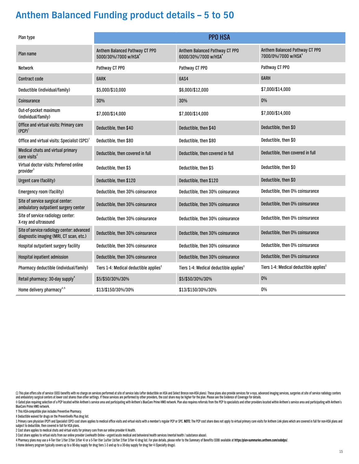| Plan type                                                                             |                                                                    | <b>PPO HSA</b>                                                     |                                                                   |
|---------------------------------------------------------------------------------------|--------------------------------------------------------------------|--------------------------------------------------------------------|-------------------------------------------------------------------|
| Plan name                                                                             | Anthem Balanced Pathway CT PPO<br>5000/30%/7000 w/HSA <sup>+</sup> | Anthem Balanced Pathway CT PPO<br>6000/30%/7000 w/HSA <sup>+</sup> | Anthem Balanced Pathway CT PPO<br>7000/0%/7000 w/HSA <sup>+</sup> |
| Network                                                                               | Pathway CT PPO                                                     | Pathway CT PPO                                                     | Pathway CT PPO                                                    |
| <b>Contract code</b>                                                                  | <b>GARK</b>                                                        | <b>6AS4</b>                                                        | <b>GARH</b>                                                       |
| Deductible (individual/family)                                                        | \$5,000/\$10,000                                                   | \$6,000/\$12,000                                                   | \$7,000/\$14,000                                                  |
| Coinsurance                                                                           | 30%                                                                | 30%                                                                | $0\%$                                                             |
| Out-of-pocket maximum<br>(individual/family)                                          | \$7,000/\$14,000                                                   | \$7,000/\$14,000                                                   | \$7,000/\$14,000                                                  |
| Office and virtual visits: Primary care<br>$(PCP)^1$                                  | Deductible, then \$40                                              | Deductible, then \$40                                              | Deductible, then \$0                                              |
| Office and virtual visits: Specialist (SPC) <sup>1</sup>                              | Deductible, then \$80                                              | Deductible, then \$80                                              | Deductible, then \$0                                              |
| Medical chats and virtual primary<br>care visits <sup>2</sup>                         | Deductible, then covered in full                                   | Deductible, then covered in full                                   | Deductible, then covered in full                                  |
| Virtual doctor visits: Preferred online<br>provider <sup>3</sup>                      | Deductible, then \$5                                               | Deductible, then \$5                                               | Deductible, then \$0                                              |
| <b>Urgent care (facility)</b>                                                         | Deductible, then \$120                                             | Deductible, then \$120                                             | Deductible, then \$0                                              |
| Emergency room (facility)                                                             | Deductible, then 30% coinsurance                                   | Deductible, then 30% coinsurance                                   | Deductible, then 0% coinsurance                                   |
| Site of service surgical center:<br>ambulatory outpatient surgery center              | Deductible, then 30% coinsurance                                   | Deductible, then 30% coinsurance                                   | Deductible, then 0% coinsurance                                   |
| Site of service radiology center:<br>X-ray and ultrasound                             | Deductible, then 30% coinsurance                                   | Deductible, then 30% coinsurance                                   | Deductible, then 0% coinsurance                                   |
| Site of service radiology center: advanced<br>diagnostic imaging (MRI, CT scan, etc.) | Deductible, then 30% coinsurance                                   | Deductible, then 30% coinsurance                                   | Deductible, then 0% coinsurance                                   |
| Hospital outpatient surgery facility                                                  | Deductible, then 30% coinsurance                                   | Deductible, then 30% coinsurance                                   | Deductible, then 0% coinsurance                                   |
| Hospital inpatient admission                                                          | Deductible, then 30% coinsurance                                   | Deductible, then 30% coinsurance                                   | Deductible, then 0% coinsurance                                   |
| Pharmacy deductible (individual/family)                                               | Tiers 1-4: Medical deductible applies <sup>#</sup>                 | Tiers 1-4: Medical deductible applies <sup><math>+</math></sup>    | Tiers 1-4: Medical deductible applies <sup>+</sup>                |
| Retail pharmacy: 30-day supply <sup>4</sup>                                           | \$5/\$50/30%/30%                                                   | \$5/\$50/30%/30%                                                   | $0\%$                                                             |
| Home delivery pharmacy <sup>4,5</sup>                                                 | \$13/\$150/30%/30%                                                 | \$13/\$150/30%/30%                                                 | 0%                                                                |

Ω This plan offers site of service (SOS) benefits with no charge on services performed at site of service labs (after deductible on HSA and Select Bronze non-HSA plans). These plans also provide services for x-rays, advan

◆ Gated plan requiring selection of a PCP located within Anthem's service area and participating with Anthem's BlueCare Prime HMO network. Plan also requires referrals from the PCP to specialists and other providers locat BlueCare Prime HMO network.

† This HSA-compatible plan includes Preventive Pharmacy.

‡ Deductible waived for drugs on the PreventiveRx Plus drug list.

1 Primary care physician (PCP) and Specialist (SPC) cost share applies to medical office visits and virtual visits with a member's regular PCP or SPC. NOTE: The PCP cost share does not apply to virtual primary care visits subject to deductible, then covered in full for HSA plans.

2 Cost share applies to medical chats and virtual visits for primary care from our online provider K Health.

3 Cost share applies to virtual visits from our online provider LiveHealth Online – urgent/acute medical and behavioral health services (mental health / substance abuse).

4 Pharmacy plans may use a 4-Tier (tier 1/tier 2/tier 3/tier 4) or a 5-Tier (tier 1a/tier 1b/tier 2/tier 2/tier 9 of a 5-Tier (tier 1a/tier 1b/tier 2/tier 2/tier 3/tier 4) drug list. For plan details, please refer to the S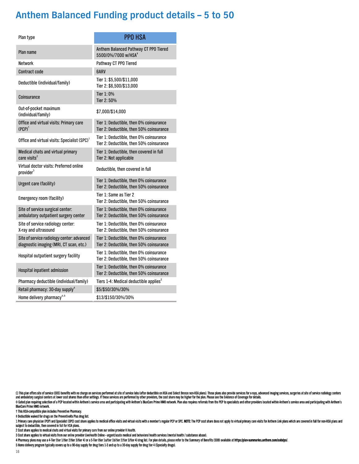| Plan type                                                                             | <b>PPO HSA</b>                                                                      |
|---------------------------------------------------------------------------------------|-------------------------------------------------------------------------------------|
| Plan name                                                                             | Anthem Balanced Pathway CT PPO Tiered<br>5500/0%/7000 w/HSA+                        |
| <b>Network</b>                                                                        | Pathway CT PPO Tiered                                                               |
| <b>Contract code</b>                                                                  | <b>GARV</b>                                                                         |
| Deductible (individual/family)                                                        | Tier 1: \$5,500/\$11,000<br>Tier 2: \$6,500/\$13,000                                |
| Coinsurance                                                                           | Tier 1: 0%<br>Tier 2:50%                                                            |
| Out-of-pocket maximum<br>(individual/family)                                          | \$7,000/\$14,000                                                                    |
| Office and virtual visits: Primary care<br>$(PCP)^1$                                  | Tier 1: Deductible, then 0% coinsurance<br>Tier 2: Deductible, then 50% coinsurance |
| Office and virtual visits: Specialist (SPC) <sup>1</sup>                              | Tier 1: Deductible, then 0% coinsurance<br>Tier 2: Deductible, then 50% coinsurance |
| Medical chats and virtual primary<br>care visits <sup>2</sup>                         | Tier 1: Deductible, then covered in full<br>Tier 2: Not applicable                  |
| Virtual doctor visits: Preferred online<br>provider <sup>3</sup>                      | Deductible, then covered in full                                                    |
| Urgent care (facility)                                                                | Tier 1: Deductible, then 0% coinsurance<br>Tier 2: Deductible, then 50% coinsurance |
| Emergency room (facility)                                                             | Tier 1: Same as Tier 2<br>Tier 2: Deductible, then 50% coinsurance                  |
| Site of service surgical center:<br>ambulatory outpatient surgery center              | Tier 1: Deductible, then 0% coinsurance<br>Tier 2: Deductible, then 50% coinsurance |
| Site of service radiology center:<br>X-ray and ultrasound                             | Tier 1: Deductible, then 0% coinsurance<br>Tier 2: Deductible, then 50% coinsurance |
| Site of service radiology center: advanced<br>diagnostic imaging (MRI, CT scan, etc.) | Tier 1: Deductible, then 0% coinsurance<br>Tier 2: Deductible, then 50% coinsurance |
| Hospital outpatient surgery facility                                                  | Tier 1: Deductible, then 0% coinsurance<br>Tier 2: Deductible, then 50% coinsurance |
| Hospital inpatient admission                                                          | Tier 1: Deductible, then 0% coinsurance<br>Tier 2: Deductible, then 50% coinsurance |
| Pharmacy deductible (individual/family)                                               | Tiers 1-4: Medical deductible applies <sup><math>+</math></sup>                     |
| Retail pharmacy: 30-day supply <sup>4</sup>                                           | \$5/\$50/30%/30%                                                                    |
| Home delivery pharmacy <sup>4,5</sup>                                                 | \$13/\$150/30%/30%                                                                  |

Ω This plan offers site of service (SOS) benefits with no charge on services performed at site of service labs (after deductible on HSA and Select Bronze non-HSA plans). These plans also provide services for x-rays, advan

& Gated plan requiring selection of a PCP located within Anthem's service area and participating with Anthem's BlueCare Prime HMO network. Plan also requires referrals from the PCP to specialists and other providers locate

† This HSA-compatible plan includes Preventive Pharmacy.

‡ Deductible waived for drugs on the PreventiveRx Plus drug list.

1 Primary care physician (PCP) and Specialist (SPC) cost share applies to medical office visits and virtual visits with a member's regular PCP or SPC. NOTE: The PCP cost share does not apply to virtual primary care visits

2 Cost share applies to medical chats and virtual visits for primary care from our online provider K Health.

3 Cost share applies to virtual visits from our online provider LiveHealth Online – urgent/acute medical and behavioral health services (mental health / substance abuse).

4 Pharmacy plans may use a 4-Tier (tier 1/tier 2/tier 3/tier 4) or a 5-Tier (tier 1a/tier 1b/tier 2/tier 3/tier 4) or g 5-Tier (tier 1a/tier 2/tier 3/tier 4) or a 5-Tier (tier 1a/tier 2/tier 3/tier 4) or g ist. For plan ed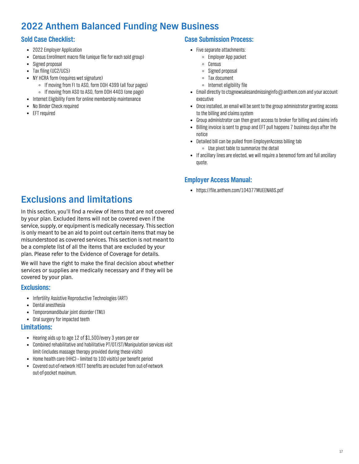### **2022 Anthem Balanced Funding New Business**

#### **Sold Case Checklist:**

- 2022 Employer Application
- $\bullet$ Census Enrollment macro file (unique file for each sold group)
- $\bullet$ Signed proposal
- Tax filing (UC2/UC5)  $\bullet$
- NY HCRA form (requires wet signature)
	- If moving from FI to ASO, form DOH 4399 (all four pages)
	- If moving from ASO to ASO, form DOH 4403 (one page)
- Internet Eligibility Form for online membership maintenance
- No Binder Check required  $\bullet$
- EFT required

#### **Case Submission Process:**

- Five separate attachments:
	- Employer App packet
	- $\circ$  Census
	- Signed proposal
	- Tax document
	- $\circ$  Internet eligibility file
- Email directly to [ctsgnewsalesandmissinginfo@anthem.com](mailto:ctsgnewsalesandmissinginfo@anthem.com) and your account executive
- Once installed, an email will be sent to the group administrator granting access  $\bullet$ to the billing and claims system
- Group administrator can then grant access to broker for billing and claims info
- Billing invoice is sent to group and EFT pull happens 7 business days after the  $\bullet$ notice
- Detailed bill can be pulled from EmployerAccess billing tab Use pivot table to summarize the detail
- If ancillary lines are elected, we will require a benemod form and full ancillary quote.

#### **Employer Access Manual:**

https://file.anthem.com/104377MUEENABS.pdf

### **Exclusions and limitations**

In this section, you'll find a review of items that are not covered by your plan. Excluded items will not be covered even if the service, supply, or equipment is medically necessary. This section is only meant to be an aid to point out certain items that may be misunderstood as covered services. This section is not meant to be a complete list of all the items that are excluded by your plan. Please refer to the Evidence of Coverage for details.

We will have the right to make the final decision about whether services or supplies are medically necessary and if they will be covered by your plan.

#### **Exclusions:**

- Infertility Assistive Reproductive Technologies (ART)
- $\bullet$ Dental anesthesia
- Temporomandibular joint disorder (TMJ)
- Oral surgery for impacted teeth

#### **Limitations:**

- Hearing aids up to age 12 of \$1,500/every 3 years per ear
- Combined rehabilitative and habilitative PT/OT/ST/Manipulation services visit limit (includes massage therapy provided during these visits)
- Home health care (HHC) limited to 100 visit(s) per benefit period
- Covered out-of-network HOTT benefits are excluded from out-of-network out-of-pocket maximum.